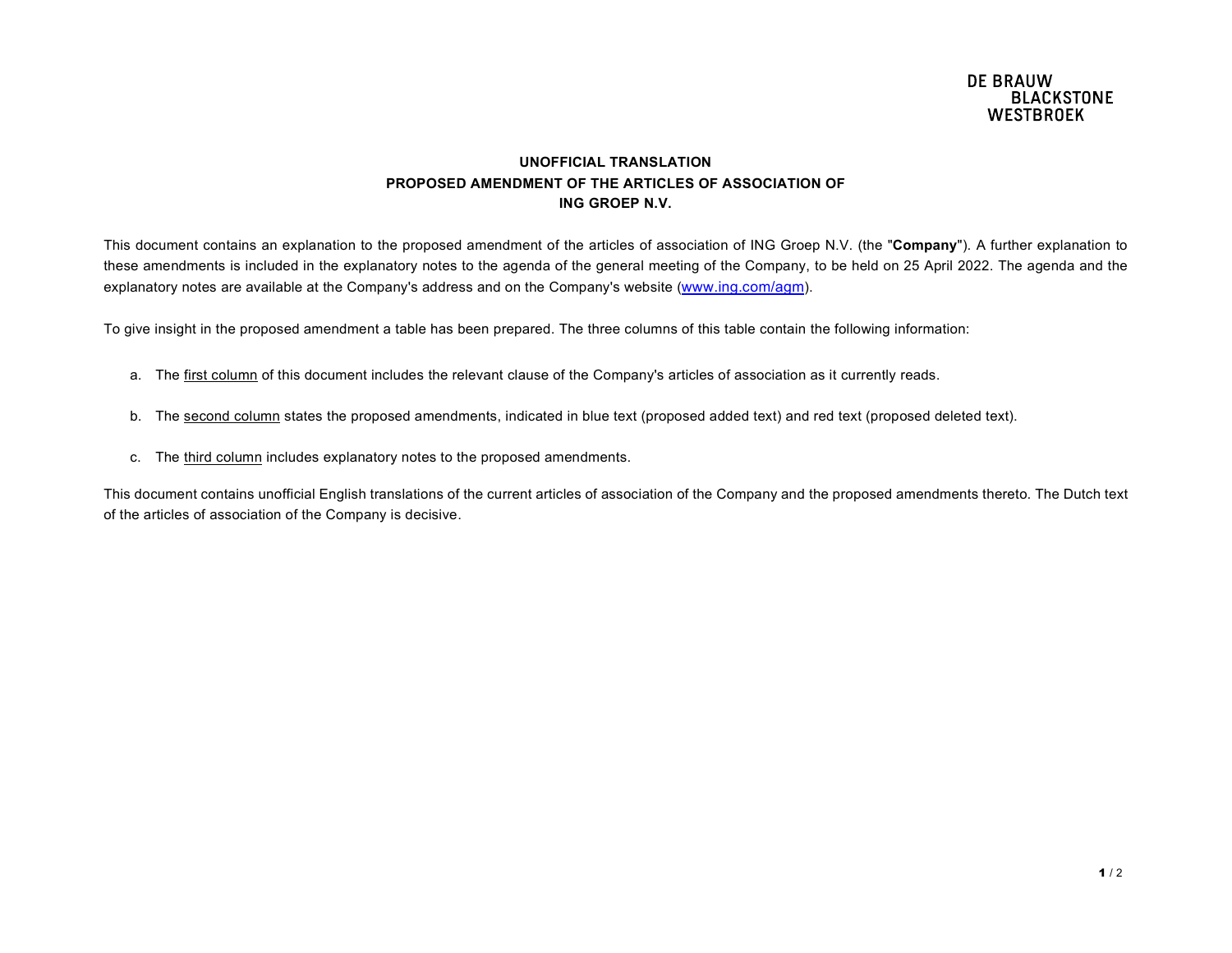## UNOFFICIAL TRANSLATION PROPOSED AMENDMENT OF THE ARTICLES OF ASSOCIATION OF ING GROEP N.V.

This document contains an explanation to the proposed amendment of the articles of association of ING Groep N.V. (the "Company"). A further explanation to these amendments is included in the explanatory notes to the agenda of the general meeting of the Company, to be held on 25 April 2022. The agenda and the explanatory notes are available at the Company's address and on the Company's website (www.ing.com/agm).

To give insight in the proposed amendment a table has been prepared. The three columns of this table contain the following information:

- a. The first column of this document includes the relevant clause of the Company's articles of association as it currently reads.
- b. The second column states the proposed amendments, indicated in blue text (proposed added text) and red text (proposed deleted text).
- c. The third column includes explanatory notes to the proposed amendments.

This document contains unofficial English translations of the current articles of association of the Company and the proposed amendments thereto. The Dutch text of the articles of association of the Company is decisive.